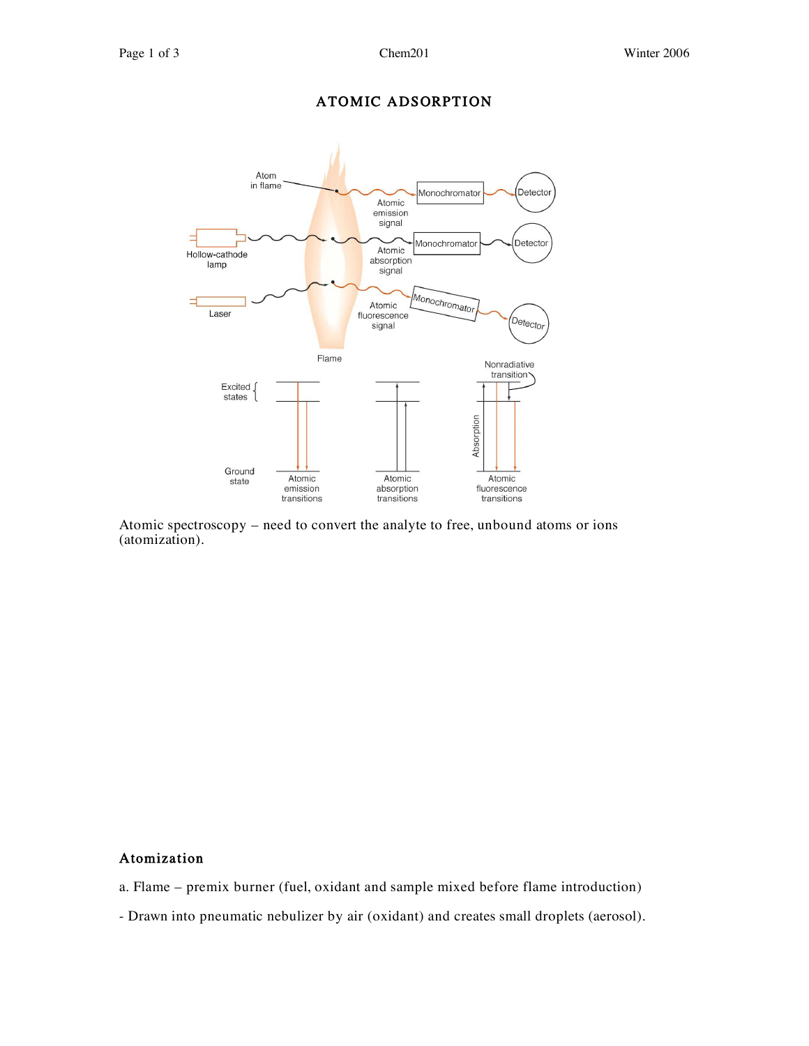## ATOMIC ADSORPTION



Atomic spectroscopy – need to convert the analyte to free, unbound atoms or ions (atomization).

#### **Atomization**

- a. Flame premix burner (fuel, oxidant and sample mixed before flame introduction)
- Drawn into pneumatic nebulizer by air (oxidant) and creates small droplets (aerosol).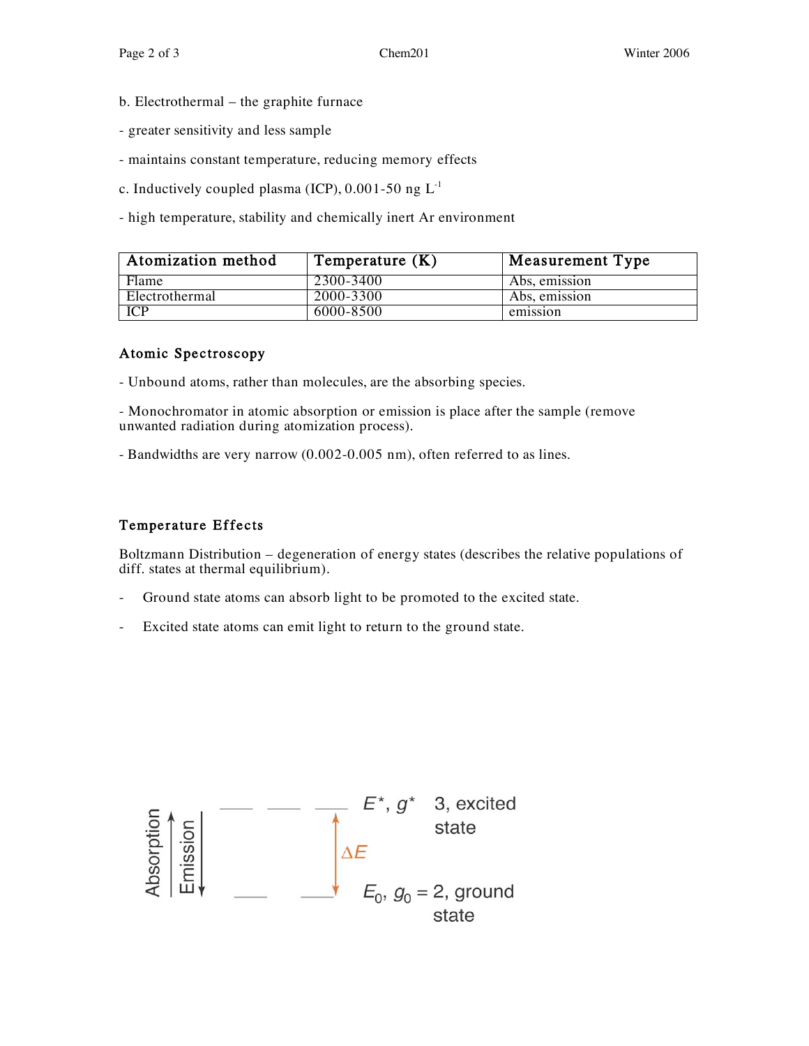- b. Electrothermal the graphite furnace
- greater sensitivity and less sample
- maintains constant temperature, reducing memory effects
- c. Inductively coupled plasma (ICP),  $0.001-50$  ng  $L^{-1}$
- high temperature, stability and chemically inert Ar environment

| Atomization method | Temperature $(K)$ | Measurement Type |
|--------------------|-------------------|------------------|
| Flame              | 2300-3400         | Abs, emission    |
| Electrothermal     | 2000-3300         | Abs, emission    |
| <b>ICP</b>         | 6000-8500         | emission         |

#### Atomic Spectroscopy

- Unbound atoms, rather than molecules, are the absorbing species.

- Monochromator in atomic absorption or emission is place after the sample (remove unwanted radiation during atomization process).

- Bandwidths are very narrow (0.002-0.005 nm), often referred to as lines.

#### Temperature Effects

Boltzmann Distribution – degeneration of energy states (describes the relative populations of diff. states at thermal equilibrium).

- Ground state atoms can absorb light to be promoted to the excited state.
- Excited state atoms can emit light to return to the ground state.